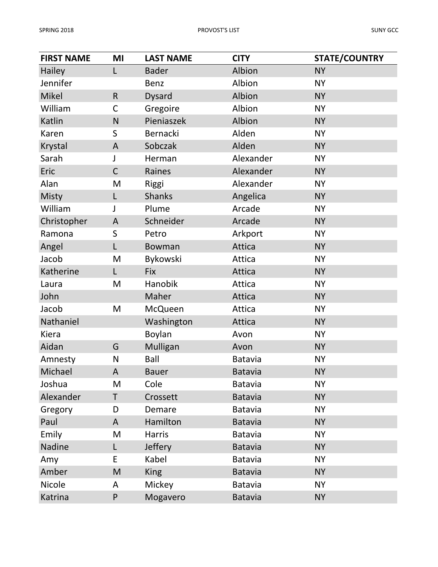| <b>FIRST NAME</b> | MI           | <b>LAST NAME</b> | <b>CITY</b>    | <b>STATE/COUNTRY</b> |
|-------------------|--------------|------------------|----------------|----------------------|
| Hailey            | L            | <b>Bader</b>     | Albion         | <b>NY</b>            |
| Jennifer          |              | <b>Benz</b>      | Albion         | <b>NY</b>            |
| Mikel             | $\mathsf{R}$ | <b>Dysard</b>    | Albion         | <b>NY</b>            |
| William           | $\mathsf C$  | Gregoire         | Albion         | <b>NY</b>            |
| Katlin            | N            | Pieniaszek       | Albion         | <b>NY</b>            |
| Karen             | S            | Bernacki         | Alden          | <b>NY</b>            |
| Krystal           | A            | Sobczak          | Alden          | <b>NY</b>            |
| Sarah             |              | Herman           | Alexander      | <b>NY</b>            |
| Eric              | $\mathsf{C}$ | Raines           | Alexander      | <b>NY</b>            |
| Alan              | M            | Riggi            | Alexander      | <b>NY</b>            |
| <b>Misty</b>      | L            | <b>Shanks</b>    | Angelica       | <b>NY</b>            |
| William           | J            | Plume            | Arcade         | <b>NY</b>            |
| Christopher       | A            | Schneider        | Arcade         | <b>NY</b>            |
| Ramona            | S            | Petro            | Arkport        | <b>NY</b>            |
| Angel             | L            | Bowman           | Attica         | <b>NY</b>            |
| Jacob             | M            | Bykowski         | Attica         | <b>NY</b>            |
| Katherine         | L            | <b>Fix</b>       | Attica         | <b>NY</b>            |
| Laura             | M            | Hanobik          | Attica         | <b>NY</b>            |
| John              |              | Maher            | Attica         | <b>NY</b>            |
| Jacob             | M            | <b>McQueen</b>   | Attica         | <b>NY</b>            |
| Nathaniel         |              | Washington       | Attica         | <b>NY</b>            |
| Kiera             |              | Boylan           | Avon           | <b>NY</b>            |
| Aidan             | G            | Mulligan         | Avon           | <b>NY</b>            |
| Amnesty           | N            | <b>Ball</b>      | <b>Batavia</b> | <b>NY</b>            |
| Michael           | A            | <b>Bauer</b>     | <b>Batavia</b> | <b>NY</b>            |
| Joshua            | M            | Cole             | <b>Batavia</b> | <b>NY</b>            |
| Alexander         | T            | Crossett         | <b>Batavia</b> | <b>NY</b>            |
| Gregory           | D            | Demare           | <b>Batavia</b> | <b>NY</b>            |
| Paul              | A            | Hamilton         | <b>Batavia</b> | <b>NY</b>            |
| Emily             | M            | <b>Harris</b>    | <b>Batavia</b> | <b>NY</b>            |
| Nadine            | L            | <b>Jeffery</b>   | <b>Batavia</b> | <b>NY</b>            |
| Amy               | E            | Kabel            | <b>Batavia</b> | <b>NY</b>            |
| Amber             | M            | <b>King</b>      | <b>Batavia</b> | <b>NY</b>            |
| Nicole            | A            | Mickey           | <b>Batavia</b> | <b>NY</b>            |
| Katrina           | P            | Mogavero         | <b>Batavia</b> | <b>NY</b>            |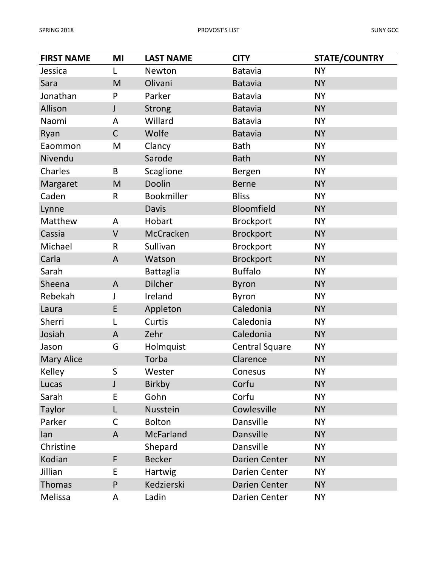| <b>FIRST NAME</b> | MI           | <b>LAST NAME</b>  | <b>CITY</b>           | <b>STATE/COUNTRY</b> |
|-------------------|--------------|-------------------|-----------------------|----------------------|
| Jessica           | L            | Newton            | <b>Batavia</b>        | <b>NY</b>            |
| Sara              | M            | Olivani           | <b>Batavia</b>        | <b>NY</b>            |
| Jonathan          | P            | Parker            | <b>Batavia</b>        | <b>NY</b>            |
| Allison           | $\mathsf{J}$ | <b>Strong</b>     | <b>Batavia</b>        | <b>NY</b>            |
| Naomi             | A            | Willard           | <b>Batavia</b>        | <b>NY</b>            |
| Ryan              | $\mathsf C$  | Wolfe             | <b>Batavia</b>        | <b>NY</b>            |
| Eaommon           | M            | Clancy            | <b>Bath</b>           | <b>NY</b>            |
| Nivendu           |              | Sarode            | <b>Bath</b>           | <b>NY</b>            |
| Charles           | B            | Scaglione         | Bergen                | <b>NY</b>            |
| Margaret          | M            | Doolin            | <b>Berne</b>          | <b>NY</b>            |
| Caden             | R            | <b>Bookmiller</b> | <b>Bliss</b>          | <b>NY</b>            |
| Lynne             |              | <b>Davis</b>      | Bloomfield            | <b>NY</b>            |
| Matthew           | A            | Hobart            | <b>Brockport</b>      | <b>NY</b>            |
| Cassia            | V            | McCracken         | <b>Brockport</b>      | <b>NY</b>            |
| Michael           | R            | Sullivan          | <b>Brockport</b>      | <b>NY</b>            |
| Carla             | A            | Watson            | <b>Brockport</b>      | <b>NY</b>            |
| Sarah             |              | <b>Battaglia</b>  | <b>Buffalo</b>        | <b>NY</b>            |
| Sheena            | A            | <b>Dilcher</b>    | <b>Byron</b>          | <b>NY</b>            |
| Rebekah           | J            | Ireland           | <b>Byron</b>          | <b>NY</b>            |
| Laura             | E            | Appleton          | Caledonia             | <b>NY</b>            |
| Sherri            |              | Curtis            | Caledonia             | <b>NY</b>            |
| Josiah            | A            | Zehr              | Caledonia             | <b>NY</b>            |
| Jason             | G            | Holmquist         | <b>Central Square</b> | <b>NY</b>            |
| <b>Mary Alice</b> |              | Torba             | Clarence              | <b>NY</b>            |
| <b>Kelley</b>     | S            | Wester            | Conesus               | <b>NY</b>            |
| Lucas             | J            | <b>Birkby</b>     | Corfu                 | <b>NY</b>            |
| Sarah             | E            | Gohn              | Corfu                 | <b>NY</b>            |
| Taylor            | L            | Nusstein          | Cowlesville           | <b>NY</b>            |
| Parker            | C            | <b>Bolton</b>     | Dansville             | <b>NY</b>            |
| lan               | A            | McFarland         | Dansville             | <b>NY</b>            |
| Christine         |              | Shepard           | Dansville             | <b>NY</b>            |
| Kodian            | F            | <b>Becker</b>     | <b>Darien Center</b>  | <b>NY</b>            |
| Jillian           | E            | Hartwig           | Darien Center         | <b>NY</b>            |
| Thomas            | P            | Kedzierski        | <b>Darien Center</b>  | <b>NY</b>            |
| Melissa           | A            | Ladin             | Darien Center         | <b>NY</b>            |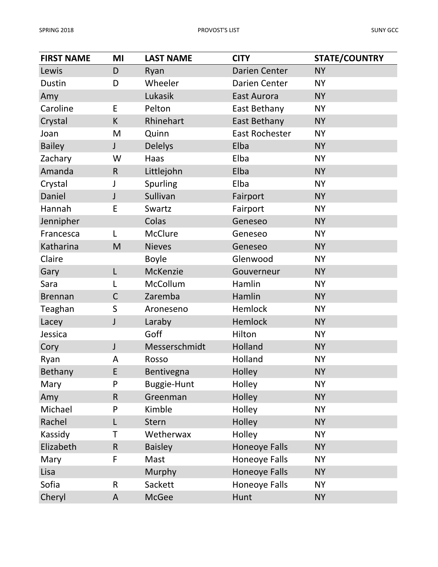| <b>FIRST NAME</b> | MI           | <b>LAST NAME</b>   | <b>CITY</b>          | <b>STATE/COUNTRY</b> |
|-------------------|--------------|--------------------|----------------------|----------------------|
| Lewis             | D            | Ryan               | <b>Darien Center</b> | <b>NY</b>            |
| <b>Dustin</b>     | D            | Wheeler            | Darien Center        | <b>NY</b>            |
| Amy               |              | Lukasik            | East Aurora          | <b>NY</b>            |
| Caroline          | E            | Pelton             | East Bethany         | <b>NY</b>            |
| Crystal           | K            | Rhinehart          | East Bethany         | <b>NY</b>            |
| Joan              | M            | Quinn              | East Rochester       | <b>NY</b>            |
| <b>Bailey</b>     | $\mathsf{J}$ | <b>Delelys</b>     | Elba                 | <b>NY</b>            |
| Zachary           | W            | Haas               | Elba                 | <b>NY</b>            |
| Amanda            | $\mathsf R$  | Littlejohn         | Elba                 | <b>NY</b>            |
| Crystal           | J            | Spurling           | Elba                 | <b>NY</b>            |
| Daniel            | $\mathsf J$  | Sullivan           | Fairport             | <b>NY</b>            |
| Hannah            | E            | Swartz             | Fairport             | <b>NY</b>            |
| Jennipher         |              | Colas              | Geneseo              | <b>NY</b>            |
| Francesca         | L            | <b>McClure</b>     | Geneseo              | <b>NY</b>            |
| Katharina         | M            | <b>Nieves</b>      | Geneseo              | <b>NY</b>            |
| Claire            |              | <b>Boyle</b>       | Glenwood             | <b>NY</b>            |
| Gary              | L            | McKenzie           | Gouverneur           | <b>NY</b>            |
| Sara              | L            | McCollum           | Hamlin               | <b>NY</b>            |
| <b>Brennan</b>    | $\mathsf C$  | Zaremba            | Hamlin               | <b>NY</b>            |
| Teaghan           | $\sf S$      | Aroneseno          | Hemlock              | <b>NY</b>            |
| Lacey             | $\mathsf{J}$ | Laraby             | Hemlock              | <b>NY</b>            |
| Jessica           |              | Goff               | Hilton               | <b>NY</b>            |
| Cory              | $\mathsf{J}$ | Messerschmidt      | Holland              | <b>NY</b>            |
| Ryan              | A            | Rosso              | Holland              | <b>NY</b>            |
| <b>Bethany</b>    | E            | Bentivegna         | Holley               | <b>NY</b>            |
| Mary              | P            | <b>Buggie-Hunt</b> | Holley               | <b>NY</b>            |
| Amy               | $\mathsf R$  | Greenman           | Holley               | <b>NY</b>            |
| Michael           | P            | Kimble             | Holley               | <b>NY</b>            |
| Rachel            | L            | Stern              | Holley               | <b>NY</b>            |
| Kassidy           | Τ            | Wetherwax          | Holley               | <b>NY</b>            |
| Elizabeth         | R            | <b>Baisley</b>     | <b>Honeoye Falls</b> | <b>NY</b>            |
| Mary              | F            | Mast               | <b>Honeoye Falls</b> | <b>NY</b>            |
| Lisa              |              | Murphy             | <b>Honeoye Falls</b> | <b>NY</b>            |
| Sofia             | R            | Sackett            | Honeoye Falls        | <b>NY</b>            |
| Cheryl            | A            | McGee              | Hunt                 | <b>NY</b>            |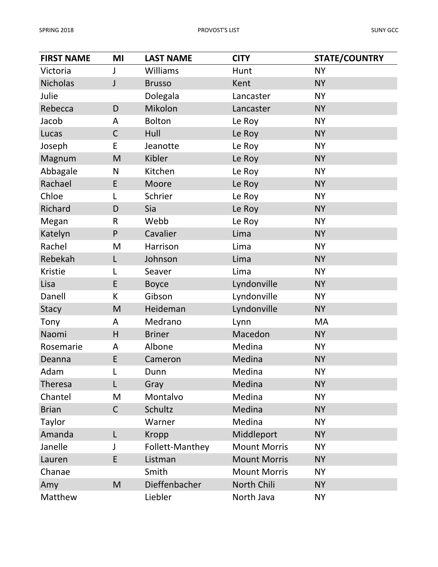| <b>FIRST NAME</b> | MI           | <b>LAST NAME</b> | <b>CITY</b>         | <b>STATE/COUNTRY</b> |
|-------------------|--------------|------------------|---------------------|----------------------|
| Victoria          | J            | Williams         | Hunt                | <b>NY</b>            |
| <b>Nicholas</b>   | J            | <b>Brusso</b>    | Kent                | <b>NY</b>            |
| Julie             |              | Dolegala         | Lancaster           | <b>NY</b>            |
| Rebecca           | D            | Mikolon          | Lancaster           | <b>NY</b>            |
| Jacob             | A            | <b>Bolton</b>    | Le Roy              | <b>NY</b>            |
| Lucas             | $\mathsf C$  | Hull             | Le Roy              | <b>NY</b>            |
| Joseph            | E            | Jeanotte         | Le Roy              | <b>NY</b>            |
| Magnum            | M            | Kibler           | Le Roy              | <b>NY</b>            |
| Abbagale          | N            | Kitchen          | Le Roy              | <b>NY</b>            |
| Rachael           | E            | Moore            | Le Roy              | <b>NY</b>            |
| Chloe             | L            | Schrier          | Le Roy              | <b>NY</b>            |
| Richard           | D            | Sia              | Le Roy              | <b>NY</b>            |
| Megan             | $\mathsf{R}$ | Webb             | Le Roy              | <b>NY</b>            |
| Katelyn           | P            | Cavalier         | Lima                | <b>NY</b>            |
| Rachel            | M            | Harrison         | Lima                | <b>NY</b>            |
| Rebekah           | L            | Johnson          | Lima                | <b>NY</b>            |
| Kristie           | L            | Seaver           | Lima                | <b>NY</b>            |
| Lisa              | E            | <b>Boyce</b>     | Lyndonville         | <b>NY</b>            |
| Danell            | K            | Gibson           | Lyndonville         | <b>NY</b>            |
| <b>Stacy</b>      | M            | Heideman         | Lyndonville         | <b>NY</b>            |
| Tony              | A            | Medrano          | Lynn                | MA                   |
| Naomi             | H            | <b>Briner</b>    | Macedon             | <b>NY</b>            |
| Rosemarie         | A            | Albone           | Medina              | <b>NY</b>            |
| Deanna            | E            | Cameron          | Medina              | <b>NY</b>            |
| Adam              | L            | Dunn             | Medina              | <b>NY</b>            |
| Theresa           | L            | Gray             | Medina              | <b>NY</b>            |
| Chantel           | M            | Montalvo         | Medina              | <b>NY</b>            |
| <b>Brian</b>      | $\mathsf C$  | Schultz          | Medina              | <b>NY</b>            |
| Taylor            |              | Warner           | Medina              | <b>NY</b>            |
| Amanda            | L            | <b>Kropp</b>     | Middleport          | <b>NY</b>            |
| Janelle           | J            | Follett-Manthey  | <b>Mount Morris</b> | <b>NY</b>            |
| Lauren            | E            | Listman          | <b>Mount Morris</b> | <b>NY</b>            |
| Chanae            |              | Smith            | <b>Mount Morris</b> | <b>NY</b>            |
| Amy               | M            | Dieffenbacher    | North Chili         | <b>NY</b>            |
| Matthew           |              | Liebler          | North Java          | <b>NY</b>            |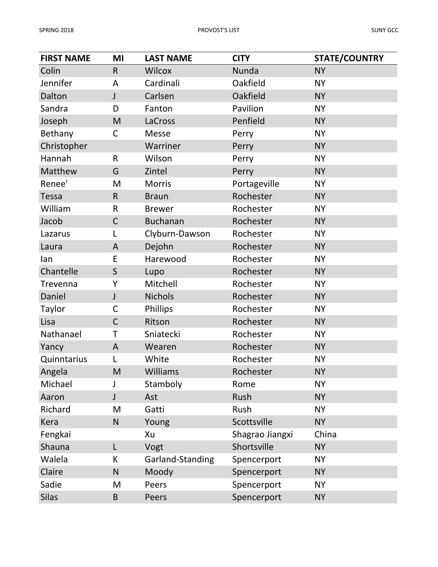| <b>FIRST NAME</b> | MI           | <b>LAST NAME</b> | <b>CITY</b>     | <b>STATE/COUNTRY</b> |
|-------------------|--------------|------------------|-----------------|----------------------|
| Colin             | R            | <b>Wilcox</b>    | Nunda           | <b>NY</b>            |
| Jennifer          | A            | Cardinali        | Oakfield        | <b>NY</b>            |
| Dalton            | J            | Carlsen          | Oakfield        | <b>NY</b>            |
| Sandra            | D            | Fanton           | Pavilion        | <b>NY</b>            |
| Joseph            | M            | LaCross          | Penfield        | <b>NY</b>            |
| Bethany           | C            | <b>Messe</b>     | Perry           | <b>NY</b>            |
| Christopher       |              | Warriner         | Perry           | <b>NY</b>            |
| Hannah            | $\mathsf{R}$ | Wilson           | Perry           | <b>NY</b>            |
| Matthew           | G            | Zintel           | Perry           | <b>NY</b>            |
| Renee'            | M            | <b>Morris</b>    | Portageville    | <b>NY</b>            |
| <b>Tessa</b>      | $\mathsf R$  | <b>Braun</b>     | Rochester       | <b>NY</b>            |
| William           | $\mathsf R$  | <b>Brewer</b>    | Rochester       | <b>NY</b>            |
| Jacob             | $\mathsf{C}$ | <b>Buchanan</b>  | Rochester       | <b>NY</b>            |
| Lazarus           | L            | Clyburn-Dawson   | Rochester       | <b>NY</b>            |
| Laura             | A            | Dejohn           | Rochester       | <b>NY</b>            |
| lan               | E            | Harewood         | Rochester       | <b>NY</b>            |
| Chantelle         | $\mathsf S$  | Lupo             | Rochester       | <b>NY</b>            |
| Trevenna          | Y            | Mitchell         | Rochester       | <b>NY</b>            |
| Daniel            | $\mathsf{J}$ | <b>Nichols</b>   | Rochester       | <b>NY</b>            |
| Taylor            | $\mathsf{C}$ | Phillips         | Rochester       | <b>NY</b>            |
| Lisa              | $\mathsf{C}$ | Ritson           | Rochester       | <b>NY</b>            |
| Nathanael         | T            | Sniatecki        | Rochester       | <b>NY</b>            |
| Yancy             | $\mathsf{A}$ | Wearen           | Rochester       | <b>NY</b>            |
| Quinntarius       |              | White            | Rochester       | <b>NY</b>            |
| Angela            | M            | Williams         | Rochester       | <b>NY</b>            |
| Michael           | J            | Stamboly         | Rome            | <b>NY</b>            |
| Aaron             | J            | Ast              | Rush            | <b>NY</b>            |
| Richard           | M            | Gatti            | Rush            | <b>NY</b>            |
| Kera              | N            | Young            | Scottsville     | <b>NY</b>            |
| Fengkai           |              | Xu               | Shagrao Jiangxi | China                |
| Shauna            | L            | Vogt             | Shortsville     | <b>NY</b>            |
| Walela            | K            | Garland-Standing | Spencerport     | <b>NY</b>            |
| Claire            | N            | Moody            | Spencerport     | <b>NY</b>            |
| Sadie             | M            | Peers            | Spencerport     | <b>NY</b>            |
| <b>Silas</b>      | B            | Peers            | Spencerport     | <b>NY</b>            |